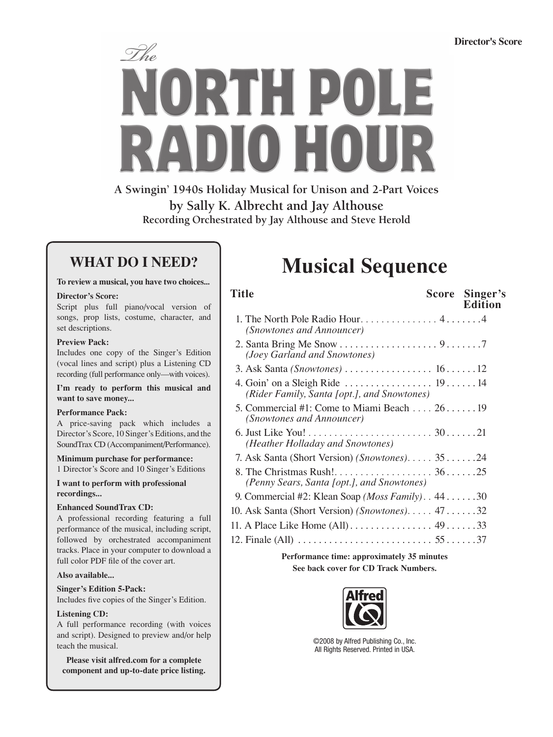

**A Swingin' 1940s Holiday Musical for Unison and 2-Part Voices by Sally K. Albrecht and Jay Althouse Recording Orchestrated by Jay Althouse and Steve Herold**

### **WHAT DO I NEED?**

#### **To review a musical, you have two choices...**

#### **Director's Score:**

Script plus full piano/vocal version of songs, prop lists, costume, character, and set descriptions.

#### **Preview Pack:**

Includes one copy of the Singer's Edition (vocal lines and script) plus a Listening CD recording (full performance only—with voices).

**I'm ready to perform this musical and want to save money...**

#### **Performance Pack:**

A price-saving pack which includes a Director's Score, 10 Singer's Editions, and the SoundTrax CD (Accompaniment/Performance).

**Minimum purchase for performance:**

1 Director's Score and 10 Singer's Editions

**I want to perform with professional recordings...**

#### **Enhanced SoundTrax CD:**

A professional recording featuring a full performance of the musical, including script, followed by orchestrated accompaniment tracks. Place in your computer to download a full color PDF file of the cover art.

#### **Also available...**

**Singer's Edition 5-Pack:**

Includes five copies of the Singer's Edition.

#### **Listening CD:**

A full performance recording (with voices and script). Designed to preview and/or help teach the musical.

**Please visit alfred.com for a complete component and up-to-date price listing.**

# **Musical Sequence**

| Title                                                                                          | Score Singer's<br><b>Edition</b> |
|------------------------------------------------------------------------------------------------|----------------------------------|
| 1. The North Pole Radio Hour 44<br>(Snowtones and Announcer)                                   |                                  |
| (Joey Garland and Snowtones)                                                                   |                                  |
|                                                                                                |                                  |
| (Rider Family, Santa [opt.], and Snowtones)                                                    |                                  |
| 5. Commercial #1: Come to Miami Beach $\dots$ 26. 19<br>(Snowtones and Announcer)              |                                  |
| (Heather Holladay and Snowtones)                                                               |                                  |
| 7. Ask Santa (Short Version) (Snowtones) 3524                                                  |                                  |
| (Penny Sears, Santa [opt.], and Snowtones)                                                     |                                  |
| 9. Commercial #2: Klean Soap ( <i>Moss Family</i> ). $.44$ 30                                  |                                  |
| 10. Ask Santa (Short Version) (Snowtones). 47 32                                               |                                  |
|                                                                                                |                                  |
| 12. Finale (All) $\ldots \ldots \ldots \ldots \ldots \ldots \ldots \ldots 55 \ldots \ldots 37$ |                                  |
|                                                                                                |                                  |

**Performance time: approximately 35 minutes See back cover for CD Track Numbers.**



©2008 by Alfred Publishing Co., Inc. All Rights Reserved. Printed in USA.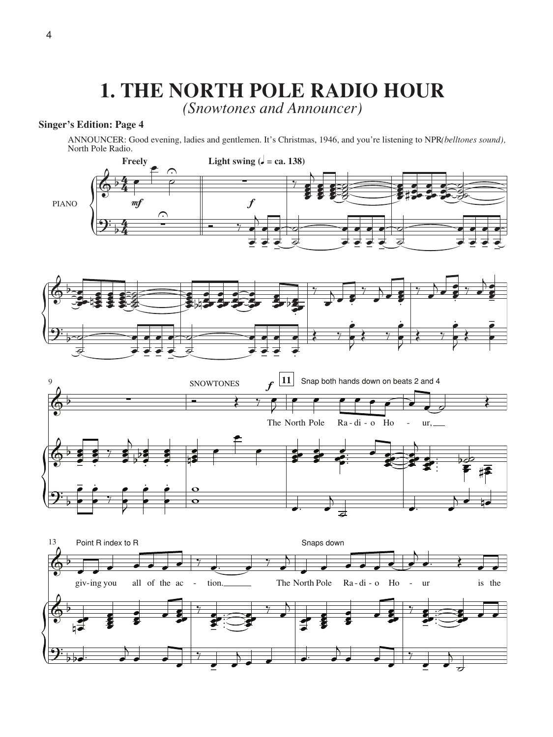## **1. THE NORTH POLE RADIO HOUR**

*(Snowtones and Announcer)*

### **Singer's Edition: Page 4**

ANNOUNCER: Good evening, ladies and gentlemen. It's Christmas, 1946, and you're listening to NPR(belltones sound), North Pole Radio.